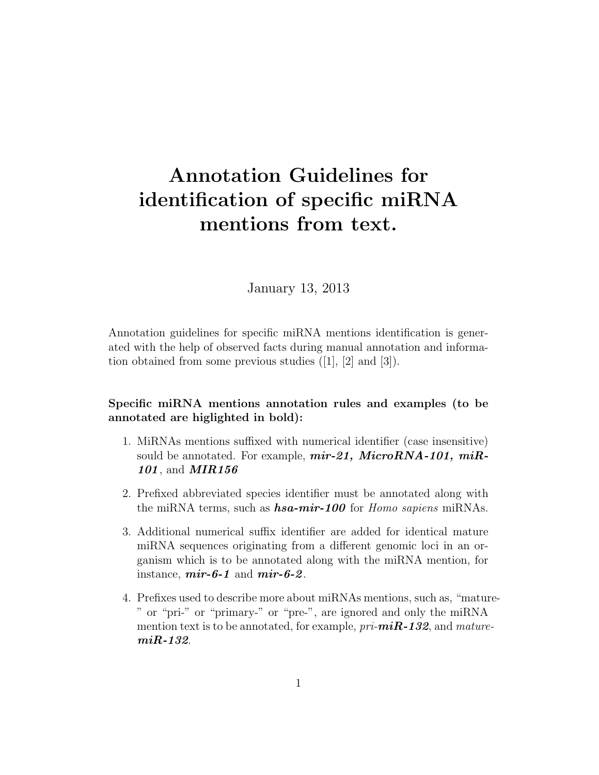## Annotation Guidelines for identification of specific miRNA mentions from text.

January 13, 2013

Annotation guidelines for specific miRNA mentions identification is generated with the help of observed facts during manual annotation and information obtained from some previous studies ([1], [2] and [3]).

## Specific miRNA mentions annotation rules and examples (to be annotated are higlighted in bold):

- 1. MiRNAs mentions suffixed with numerical identifier (case insensitive) sould be annotated. For example,  $mir-21$ ,  $MicroRNA-101$ ,  $miR-$ 101, and **MIR156**
- 2. Prefixed abbreviated species identifier must be annotated along with the miRNA terms, such as  $\boldsymbol{hsa-mir-100}$  for Homo sapiens miRNAs.
- 3. Additional numerical suffix identifier are added for identical mature miRNA sequences originating from a different genomic loci in an organism which is to be annotated along with the miRNA mention, for instance,  $\textit{mir-6-1}$  and  $\textit{mir-6-2}$ .
- 4. Prefixes used to describe more about miRNAs mentions, such as, "mature- " or "pri-" or "primary-" or "pre-", are ignored and only the miRNA mention text is to be annotated, for example,  $pri\text{-}miR\text{-}132$ , and maturemiR-132.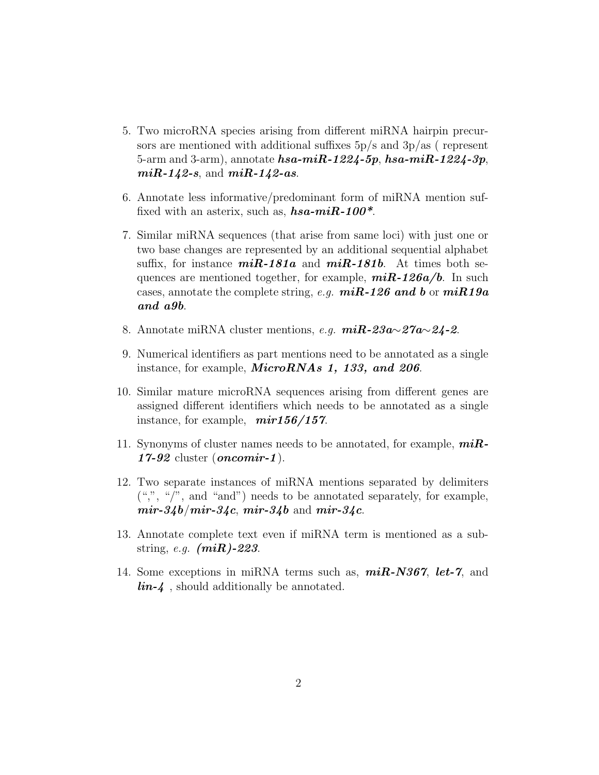- 5. Two microRNA species arising from different miRNA hairpin precursors are mentioned with additional suffixes  $5p/s$  and  $3p/as$  (represent 5-arm and 3-arm), annotate  $hsa$ -mi $R$ -1224-5p, hsa-mi $R$ -1224-3p,  $miR-142-s$ , and  $miR-142-as$ .
- 6. Annotate less informative/predominant form of miRNA mention suffixed with an asterix, such as,  $\boldsymbol{hsa-miR-100^*}$ .
- 7. Similar miRNA sequences (that arise from same loci) with just one or two base changes are represented by an additional sequential alphabet suffix, for instance  $miR-181a$  and  $miR-181b$ . At times both sequences are mentioned together, for example,  $miR-126a/b$ . In such cases, annotate the complete string, e.g.  $miR-126$  and b or  $miR19a$ and a9b.
- 8. Annotate miRNA cluster mentions, *e.g.*  $miR$ -23a∼27a∼24-2.
- 9. Numerical identifiers as part mentions need to be annotated as a single instance, for example, *MicroRNAs* 1, 133, and 206.
- 10. Similar mature microRNA sequences arising from different genes are assigned different identifiers which needs to be annotated as a single instance, for example,  $mir156/157$ .
- 11. Synonyms of cluster names needs to be annotated, for example,  $miR$ - $17-92$  cluster (*oncomir-1*).
- 12. Two separate instances of miRNA mentions separated by delimiters  $({\lq, "}, {\lq, "'}')$ , and "and") needs to be annotated separately, for example,  $mir-34b/mir-34c$ ,  $mir-34b$  and  $mir-34c$ .
- 13. Annotate complete text even if miRNA term is mentioned as a substring, e.g.  $(miR)$ -223.
- 14. Some exceptions in miRNA terms such as,  $miR\text{-}N367$ , let-7, and  $\lim_{\Delta} 4$ , should additionally be annotated.